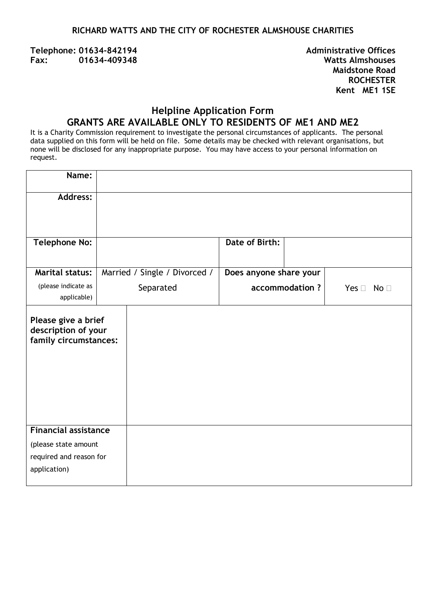#### **RICHARD WATTS AND THE CITY OF ROCHESTER ALMSHOUSE CHARITIES**

**Telephone: 01634-842194 Administrative Offices Fax: 01634-409348 Watts Almshouses**

**Maidstone Road ROCHESTER Kent ME1 1SE** 

# **Helpline Application Form GRANTS ARE AVAILABLE ONLY TO RESIDENTS OF ME1 AND ME2**

It is a Charity Commission requirement to investigate the personal circumstances of applicants. The personal data supplied on this form will be held on file. Some details may be checked with relevant organisations, but none will be disclosed for any inappropriate purpose. You may have access to your personal information on request.

| Name:                                                               |           |                               |                        |                 |                      |
|---------------------------------------------------------------------|-----------|-------------------------------|------------------------|-----------------|----------------------|
| <b>Address:</b>                                                     |           |                               |                        |                 |                      |
|                                                                     |           |                               |                        |                 |                      |
| <b>Telephone No:</b>                                                |           |                               | Date of Birth:         |                 |                      |
| <b>Marital status:</b>                                              |           | Married / Single / Divorced / | Does anyone share your |                 |                      |
| (please indicate as<br>applicable)                                  | Separated |                               |                        | accommodation ? | Yes $\Box$ No $\Box$ |
| Please give a brief<br>description of your<br>family circumstances: |           |                               |                        |                 |                      |
| <b>Financial assistance</b>                                         |           |                               |                        |                 |                      |
| (please state amount                                                |           |                               |                        |                 |                      |
| required and reason for                                             |           |                               |                        |                 |                      |
| application)                                                        |           |                               |                        |                 |                      |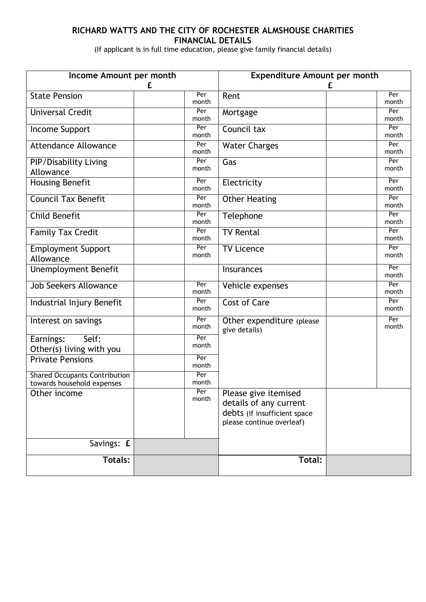### **RICHARD WATTS AND THE CITY OF ROCHESTER ALMSHOUSE CHARITIES FINANCIAL DETAILS**

(If applicant is in full time education, please give family financial details)

| Income Amount per month                                            |              | <b>Expenditure Amount per month</b>                                                                         |              |  |
|--------------------------------------------------------------------|--------------|-------------------------------------------------------------------------------------------------------------|--------------|--|
|                                                                    | £            | £                                                                                                           |              |  |
| <b>State Pension</b>                                               | Per<br>month | Rent                                                                                                        | Per<br>month |  |
| <b>Universal Credit</b>                                            | Per<br>month | Mortgage                                                                                                    | Per<br>month |  |
| Income Support                                                     | Per<br>month | Council tax                                                                                                 | Per<br>month |  |
| <b>Attendance Allowance</b>                                        | Per<br>month | <b>Water Charges</b>                                                                                        | Per<br>month |  |
| <b>PIP/Disability Living</b><br>Allowance                          | Per<br>month | Gas                                                                                                         | Per<br>month |  |
| Housing Benefit                                                    | Per<br>month | Electricity                                                                                                 | Per<br>month |  |
| <b>Council Tax Benefit</b>                                         | Per<br>month | Other Heating                                                                                               | Per<br>month |  |
| <b>Child Benefit</b>                                               | Per<br>month | Telephone                                                                                                   | Per<br>month |  |
| <b>Family Tax Credit</b>                                           | Per<br>month | <b>TV Rental</b>                                                                                            | Per<br>month |  |
| <b>Employment Support</b><br>Allowance                             | Per<br>month | <b>TV Licence</b>                                                                                           | Per<br>month |  |
| <b>Unemployment Benefit</b>                                        |              | Insurances                                                                                                  | Per<br>month |  |
| <b>Job Seekers Allowance</b>                                       | Per<br>month | Vehicle expenses                                                                                            | Per<br>month |  |
| Industrial Injury Benefit                                          | Per<br>month | <b>Cost of Care</b>                                                                                         | Per<br>month |  |
| Interest on savings                                                | Per<br>month | Other expenditure (please<br>give details)                                                                  | Per<br>month |  |
| Self:<br>Earnings:<br>Other(s) living with you                     | Per<br>month |                                                                                                             |              |  |
| <b>Private Pensions</b>                                            | Per<br>month |                                                                                                             |              |  |
| <b>Shared Occupants Contribution</b><br>towards household expenses | Per<br>month |                                                                                                             |              |  |
| Other income                                                       | Per<br>month | Please give itemised<br>details of any current<br>debts (if insufficient space<br>please continue overleaf) |              |  |
| Savings: £                                                         |              |                                                                                                             |              |  |
| <b>Totals:</b>                                                     |              | Total:                                                                                                      |              |  |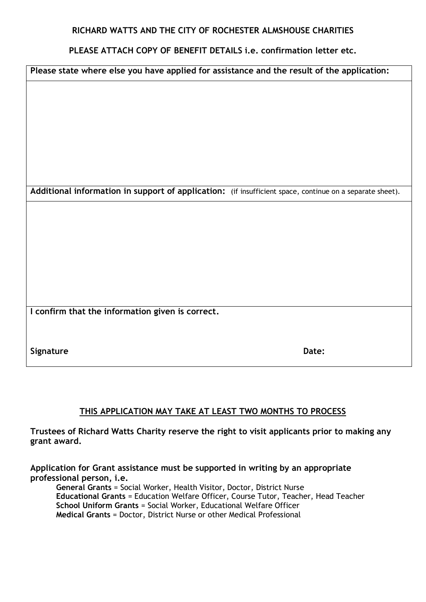#### **RICHARD WATTS AND THE CITY OF ROCHESTER ALMSHOUSE CHARITIES**

### **PLEASE ATTACH COPY OF BENEFIT DETAILS i.e. confirmation letter etc.**

| Please state where else you have applied for assistance and the result of the application:               |       |  |  |  |  |
|----------------------------------------------------------------------------------------------------------|-------|--|--|--|--|
|                                                                                                          |       |  |  |  |  |
|                                                                                                          |       |  |  |  |  |
|                                                                                                          |       |  |  |  |  |
|                                                                                                          |       |  |  |  |  |
|                                                                                                          |       |  |  |  |  |
|                                                                                                          |       |  |  |  |  |
| Additional information in support of application: (if insufficient space, continue on a separate sheet). |       |  |  |  |  |
|                                                                                                          |       |  |  |  |  |
|                                                                                                          |       |  |  |  |  |
|                                                                                                          |       |  |  |  |  |
|                                                                                                          |       |  |  |  |  |
|                                                                                                          |       |  |  |  |  |
|                                                                                                          |       |  |  |  |  |
| I confirm that the information given is correct.                                                         |       |  |  |  |  |
|                                                                                                          |       |  |  |  |  |
| Signature                                                                                                | Date: |  |  |  |  |

## **THIS APPLICATION MAY TAKE AT LEAST TWO MONTHS TO PROCESS**

**Trustees of Richard Watts Charity reserve the right to visit applicants prior to making any grant award.**

**Application for Grant assistance must be supported in writing by an appropriate professional person, i.e.**

**General Grants** = Social Worker, Health Visitor, Doctor, District Nurse **Educational Grants** = Education Welfare Officer, Course Tutor, Teacher, Head Teacher **School Uniform Grants** = Social Worker, Educational Welfare Officer **Medical Grants** = Doctor, District Nurse or other Medical Professional